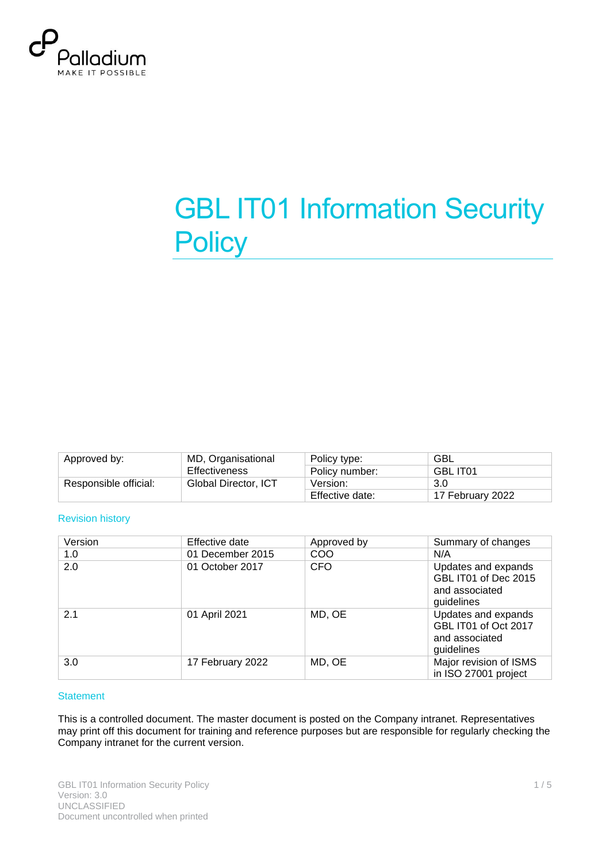

# **GBL IT01 Information Security Policy**

| Approved by:          | MD, Organisational   | Policy type:    | GBL              |
|-----------------------|----------------------|-----------------|------------------|
|                       | Effectiveness        | Policy number:  | <b>GBL IT01</b>  |
| Responsible official: | Global Director, ICT | Version:        | 3.0              |
|                       |                      | Effective date: | 17 February 2022 |

#### Revision history

| Version | Effective date   | Approved by | Summary of changes                                                          |
|---------|------------------|-------------|-----------------------------------------------------------------------------|
| 1.0     | 01 December 2015 | COO         | N/A                                                                         |
| 2.0     | 01 October 2017  | CFO         | Updates and expands<br>GBL IT01 of Dec 2015<br>and associated<br>guidelines |
| 2.1     | 01 April 2021    | MD, OE      | Updates and expands<br>GBL IT01 of Oct 2017<br>and associated<br>guidelines |
| 3.0     | 17 February 2022 | MD, OE      | Major revision of ISMS<br>in ISO 27001 project                              |

#### **Statement**

This is a controlled document. The master document is posted on the Company intranet. Representatives may print off this document for training and reference purposes but are responsible for regularly checking the Company intranet for the current version.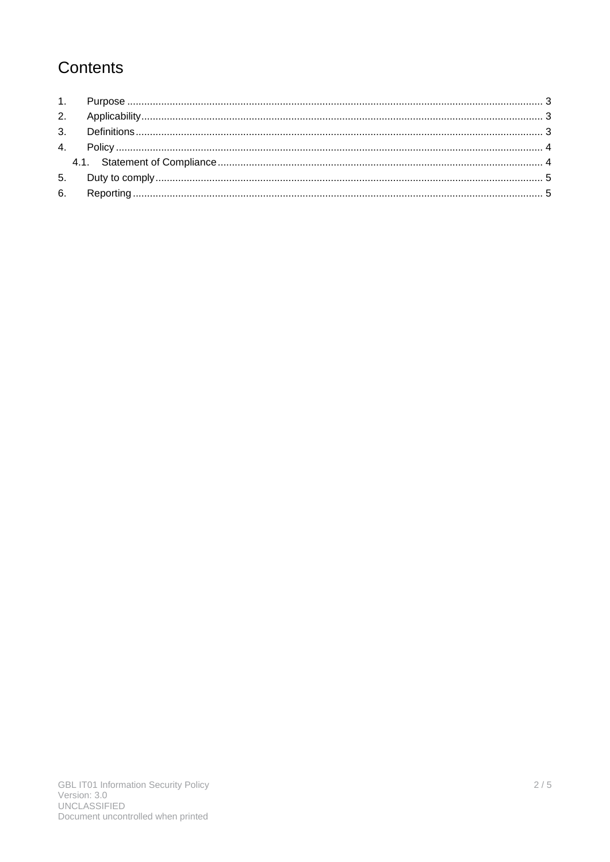# Contents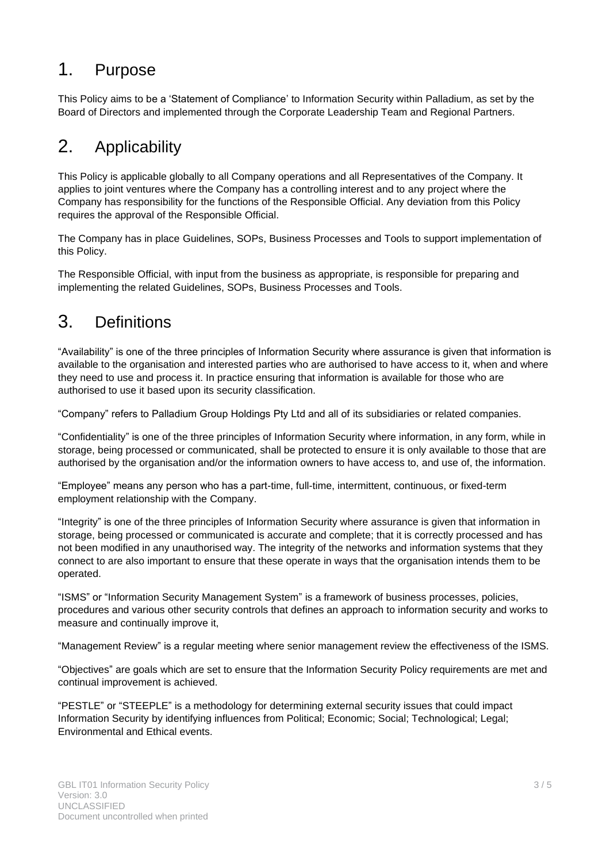## <span id="page-2-0"></span>1. Purpose

This Policy aims to be a 'Statement of Compliance' to Information Security within Palladium, as set by the Board of Directors and implemented through the Corporate Leadership Team and Regional Partners.

# <span id="page-2-1"></span>2. Applicability

This Policy is applicable globally to all Company operations and all Representatives of the Company. It applies to joint ventures where the Company has a controlling interest and to any project where the Company has responsibility for the functions of the Responsible Official. Any deviation from this Policy requires the approval of the Responsible Official.

The Company has in place Guidelines, SOPs, Business Processes and Tools to support implementation of this Policy.

The Responsible Official, with input from the business as appropriate, is responsible for preparing and implementing the related Guidelines, SOPs, Business Processes and Tools.

### <span id="page-2-2"></span>3. Definitions

"Availability" is one of the three principles of Information Security where assurance is given that information is available to the organisation and interested parties who are authorised to have access to it, when and where they need to use and process it. In practice ensuring that information is available for those who are authorised to use it based upon its security classification.

"Company" refers to Palladium Group Holdings Pty Ltd and all of its subsidiaries or related companies.

"Confidentiality" is one of the three principles of Information Security where information, in any form, while in storage, being processed or communicated, shall be protected to ensure it is only available to those that are authorised by the organisation and/or the information owners to have access to, and use of, the information.

"Employee" means any person who has a part-time, full-time, intermittent, continuous, or fixed-term employment relationship with the Company.

"Integrity" is one of the three principles of Information Security where assurance is given that information in storage, being processed or communicated is accurate and complete; that it is correctly processed and has not been modified in any unauthorised way. The integrity of the networks and information systems that they connect to are also important to ensure that these operate in ways that the organisation intends them to be operated.

"ISMS" or "Information Security Management System" is a framework of business processes, policies, procedures and various other security controls that defines an approach to information security and works to measure and continually improve it,

"Management Review" is a regular meeting where senior management review the effectiveness of the ISMS.

"Objectives" are goals which are set to ensure that the Information Security Policy requirements are met and continual improvement is achieved.

"PESTLE" or "STEEPLE" is a methodology for determining external security issues that could impact Information Security by identifying influences from Political; Economic; Social; Technological; Legal; Environmental and Ethical events.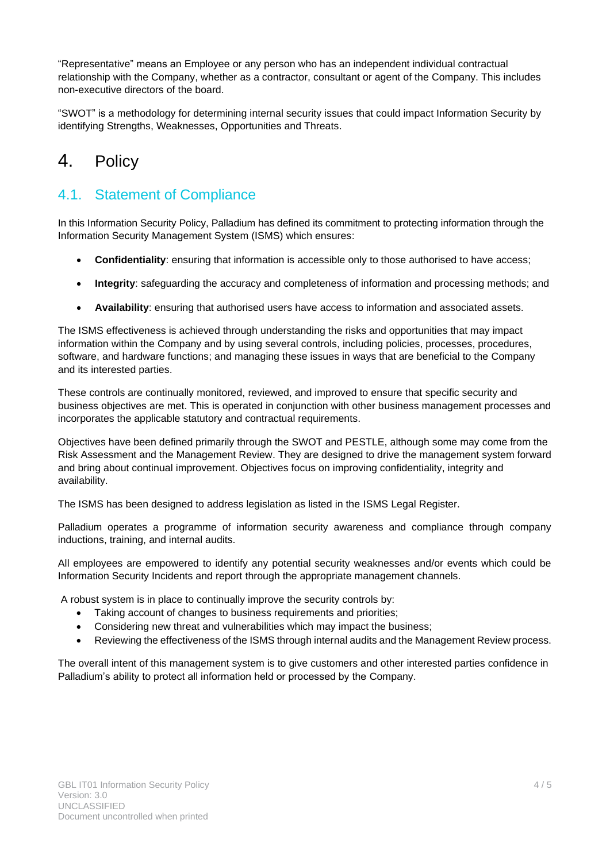"Representative" means an Employee or any person who has an independent individual contractual relationship with the Company, whether as a contractor, consultant or agent of the Company. This includes non-executive directors of the board.

"SWOT" is a methodology for determining internal security issues that could impact Information Security by identifying Strengths, Weaknesses, Opportunities and Threats.

# <span id="page-3-0"></span>4. Policy

#### <span id="page-3-1"></span>4.1. Statement of Compliance

In this Information Security Policy, Palladium has defined its commitment to protecting information through the Information Security Management System (ISMS) which ensures:

- **Confidentiality**: ensuring that information is accessible only to those authorised to have access;
- **Integrity**: safeguarding the accuracy and completeness of information and processing methods; and
- **Availability**: ensuring that authorised users have access to information and associated assets.

The ISMS effectiveness is achieved through understanding the risks and opportunities that may impact information within the Company and by using several controls, including policies, processes, procedures, software, and hardware functions; and managing these issues in ways that are beneficial to the Company and its interested parties.

These controls are continually monitored, reviewed, and improved to ensure that specific security and business objectives are met. This is operated in conjunction with other business management processes and incorporates the applicable statutory and contractual requirements.

Objectives have been defined primarily through the SWOT and PESTLE, although some may come from the Risk Assessment and the Management Review. They are designed to drive the management system forward and bring about continual improvement. Objectives focus on improving confidentiality, integrity and availability.

The ISMS has been designed to address legislation as listed in the ISMS Legal Register.

Palladium operates a programme of information security awareness and compliance through company inductions, training, and internal audits.

All employees are empowered to identify any potential security weaknesses and/or events which could be Information Security Incidents and report through the appropriate management channels.

A robust system is in place to continually improve the security controls by:

- Taking account of changes to business requirements and priorities;
- Considering new threat and vulnerabilities which may impact the business;
- Reviewing the effectiveness of the ISMS through internal audits and the Management Review process.

The overall intent of this management system is to give customers and other interested parties confidence in Palladium's ability to protect all information held or processed by the Company.